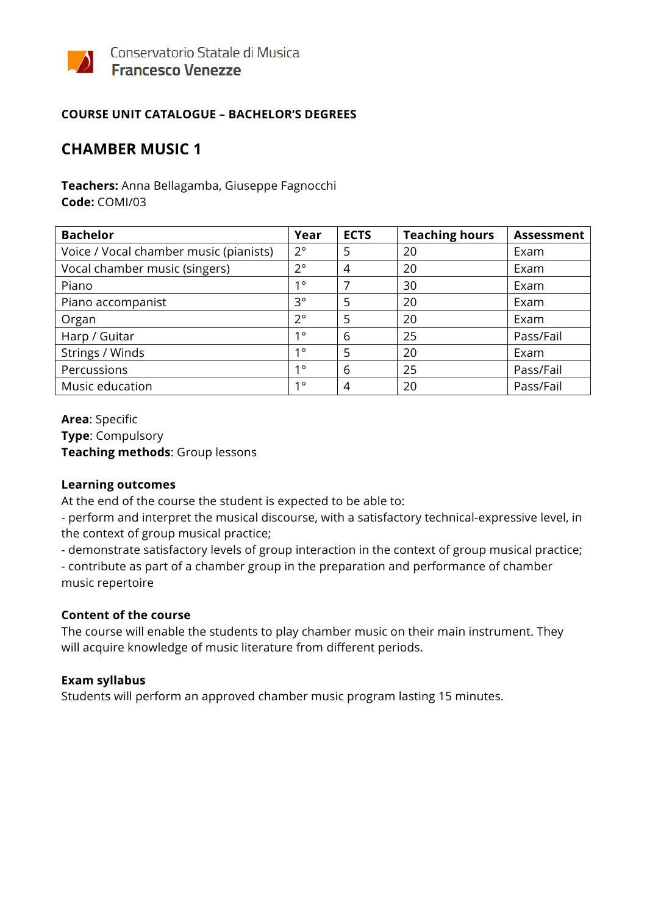

## **COURSE UNIT CATALOGUE – BACHELOR'S DEGREES**

## **CHAMBER MUSIC 1**

**Teachers:** Anna Bellagamba, Giuseppe Fagnocchi **Code:** COMI/03

| <b>Bachelor</b>                        | Year        | <b>ECTS</b>    | <b>Teaching hours</b> | <b>Assessment</b> |
|----------------------------------------|-------------|----------------|-----------------------|-------------------|
| Voice / Vocal chamber music (pianists) | $2^{\circ}$ | 5              | 20                    | Exam              |
| Vocal chamber music (singers)          | $2^{\circ}$ | $\overline{4}$ | 20                    | Exam              |
| Piano                                  | 10          | 7              | 30                    | Exam              |
| Piano accompanist                      | 3°          | 5              | 20                    | Exam              |
| Organ                                  | $2^{\circ}$ | 5              | 20                    | Exam              |
| Harp / Guitar                          | $1^{\circ}$ | 6              | 25                    | Pass/Fail         |
| Strings / Winds                        | $1^{\circ}$ | 5              | 20                    | Exam              |
| Percussions                            | 10          | 6              | 25                    | Pass/Fail         |
| Music education                        | 10          | $\overline{4}$ | 20                    | Pass/Fail         |

**Area**: Specific **Type**: Compulsory **Teaching methods**: Group lessons

#### **Learning outcomes**

At the end of the course the student is expected to be able to:

- perform and interpret the musical discourse, with a satisfactory technical-expressive level, in the context of group musical practice;

- demonstrate satisfactory levels of group interaction in the context of group musical practice;

- contribute as part of a chamber group in the preparation and performance of chamber music repertoire

#### **Content of the course**

The course will enable the students to play chamber music on their main instrument. They will acquire knowledge of music literature from different periods.

## **Exam syllabus**

Students will perform an approved chamber music program lasting 15 minutes.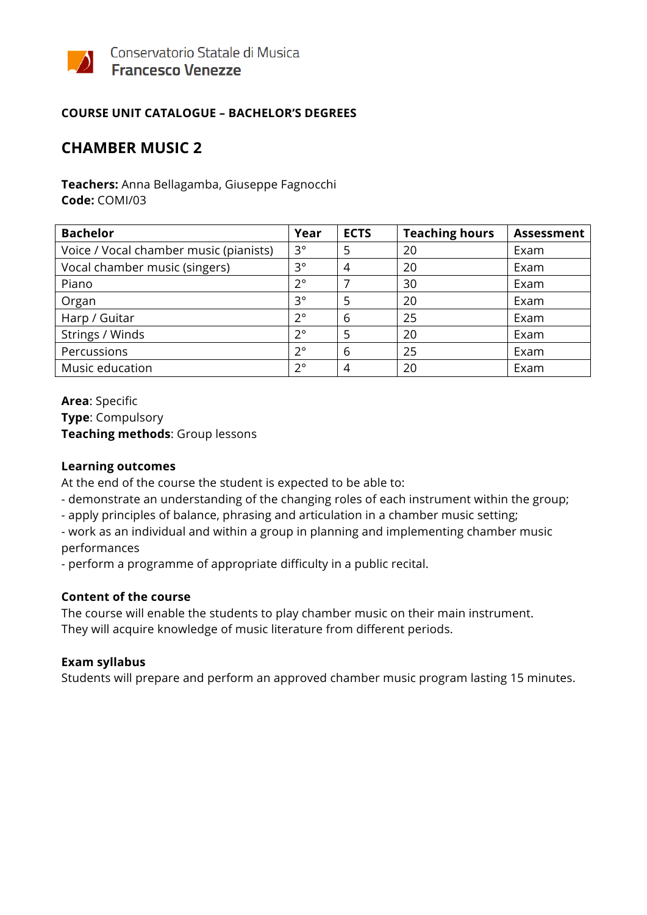

## **COURSE UNIT CATALOGUE – BACHELOR'S DEGREES**

## **CHAMBER MUSIC 2**

**Teachers:** Anna Bellagamba, Giuseppe Fagnocchi **Code:** COMI/03

| <b>Bachelor</b>                        | Year        | <b>ECTS</b> | <b>Teaching hours</b> | <b>Assessment</b> |
|----------------------------------------|-------------|-------------|-----------------------|-------------------|
| Voice / Vocal chamber music (pianists) | 3°          | 5           | 20                    | Exam              |
| Vocal chamber music (singers)          | $3^{\circ}$ | 4           | 20                    | Exam              |
| Piano                                  | $2^{\circ}$ |             | 30                    | Exam              |
| Organ                                  | $3^{\circ}$ | 5           | 20                    | Exam              |
| Harp / Guitar                          | $2^{\circ}$ | 6           | 25                    | Exam              |
| Strings / Winds                        | $2^{\circ}$ | 5           | 20                    | Exam              |
| Percussions                            | $2^{\circ}$ | 6           | 25                    | Exam              |
| Music education                        | $2^{\circ}$ | 4           | 20                    | Exam              |

**Area**: Specific **Type**: Compulsory **Teaching methods**: Group lessons

#### **Learning outcomes**

At the end of the course the student is expected to be able to:

- demonstrate an understanding of the changing roles of each instrument within the group;
- apply principles of balance, phrasing and articulation in a chamber music setting;

- work as an individual and within a group in planning and implementing chamber music performances

- perform a programme of appropriate difficulty in a public recital.

#### **Content of the course**

The course will enable the students to play chamber music on their main instrument. They will acquire knowledge of music literature from different periods.

#### **Exam syllabus**

Students will prepare and perform an approved chamber music program lasting 15 minutes.